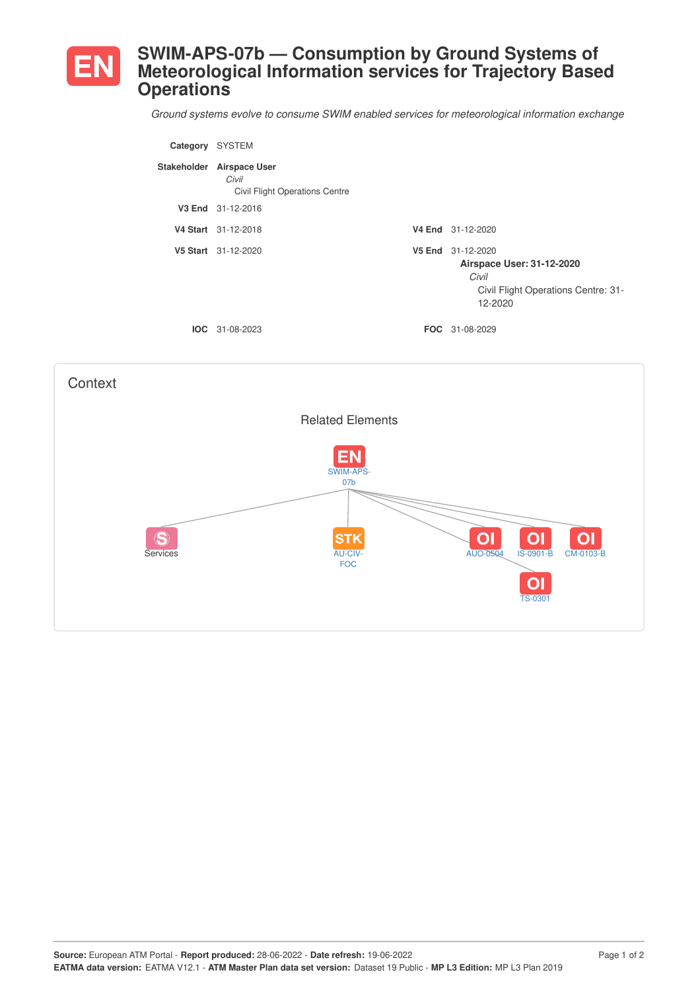

## **SWIM-APS-07b — Consumption by Ground Systems of Meteorological Information services for Trajectory Based Operations**

*Ground systems evolve to consume SWIM enabled services for meteorological information exchange*

| Category | <b>SYSTEM</b>                                                               |                                                                                                           |
|----------|-----------------------------------------------------------------------------|-----------------------------------------------------------------------------------------------------------|
|          | Stakeholder Airspace User<br>Civil<br><b>Civil Flight Operations Centre</b> |                                                                                                           |
|          | V3 End 31-12-2016                                                           |                                                                                                           |
|          | V4 Start 31-12-2018                                                         | V4 End 31-12-2020                                                                                         |
|          | V5 Start 31-12-2020                                                         | V5 End 31-12-2020<br>Airspace User: 31-12-2020<br>Civil<br>Civil Flight Operations Centre: 31-<br>12-2020 |
| IOC.     | 31-08-2023                                                                  | <b>FOC</b> 31-08-2029                                                                                     |